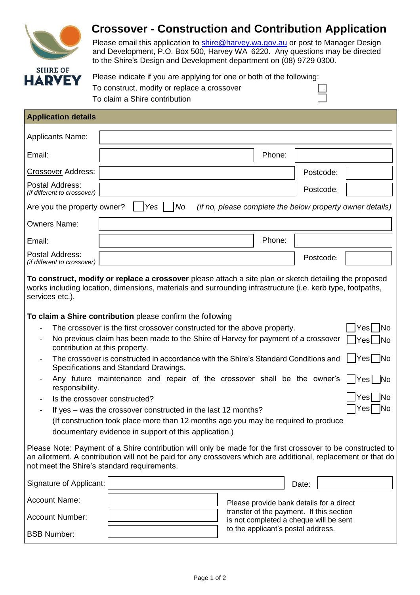

# **Crossover - Construction and Contribution Application**

Please email this application to [shire@harvey.wa.gov.au](mailto:shire@harvey.wa.gov.au) or post to Manager Design and Development, P.O. Box 500, Harvey WA 6220. Any questions may be directed to the Shire's Design and Development department on (08) 9729 0300.

| Please indicate if you are applying for one or both of the following: |  |
|-----------------------------------------------------------------------|--|
| To construct, modify or replace a crossover                           |  |
| To claim a Shire contribution                                         |  |

| <b>Application details</b>                                                                                                                                                                                                                                                                            |                                                           |  |  |  |  |  |  |
|-------------------------------------------------------------------------------------------------------------------------------------------------------------------------------------------------------------------------------------------------------------------------------------------------------|-----------------------------------------------------------|--|--|--|--|--|--|
| <b>Applicants Name:</b>                                                                                                                                                                                                                                                                               |                                                           |  |  |  |  |  |  |
| Phone:<br>Email:                                                                                                                                                                                                                                                                                      |                                                           |  |  |  |  |  |  |
| <b>Crossover Address:</b>                                                                                                                                                                                                                                                                             | Postcode:                                                 |  |  |  |  |  |  |
| Postal Address:<br>(if different to crossover)                                                                                                                                                                                                                                                        | Postcode:                                                 |  |  |  |  |  |  |
| Yes<br>No<br>Are you the property owner?                                                                                                                                                                                                                                                              | (if no, please complete the below property owner details) |  |  |  |  |  |  |
| <b>Owners Name:</b>                                                                                                                                                                                                                                                                                   |                                                           |  |  |  |  |  |  |
| Phone:<br>Email:                                                                                                                                                                                                                                                                                      |                                                           |  |  |  |  |  |  |
| Postal Address:<br>(if different to crossover)                                                                                                                                                                                                                                                        | Postcode:                                                 |  |  |  |  |  |  |
| To construct, modify or replace a crossover please attach a site plan or sketch detailing the proposed<br>works including location, dimensions, materials and surrounding infrastructure (i.e. kerb type, footpaths,<br>services etc.).<br>To claim a Shire contribution please confirm the following |                                                           |  |  |  |  |  |  |
| The crossover is the first crossover constructed for the above property.                                                                                                                                                                                                                              | <b>No</b><br>Yesl                                         |  |  |  |  |  |  |
| No previous claim has been made to the Shire of Harvey for payment of a crossover<br>Yes No<br>contribution at this property.                                                                                                                                                                         |                                                           |  |  |  |  |  |  |
| Yes  No<br>The crossover is constructed in accordance with the Shire's Standard Conditions and<br>Specifications and Standard Drawings.                                                                                                                                                               |                                                           |  |  |  |  |  |  |
| Any future maintenance and repair of the crossover shall be the owner's<br>responsibility.                                                                                                                                                                                                            | Yes  No                                                   |  |  |  |  |  |  |
| <b>INo</b><br>Yesl<br>Is the crossover constructed?                                                                                                                                                                                                                                                   |                                                           |  |  |  |  |  |  |
| If yes – was the crossover constructed in the last 12 months?                                                                                                                                                                                                                                         | Yes   No                                                  |  |  |  |  |  |  |

(If construction took place more than 12 months ago you may be required to produce documentary evidence in support of this application.)

Please Note: Payment of a Shire contribution will only be made for the first crossover to be constructed to an allotment. A contribution will not be paid for any crossovers which are additional, replacement or that do not meet the Shire's standard requirements.

| Signature of Applicant: | Date:                                                                              |  |  |
|-------------------------|------------------------------------------------------------------------------------|--|--|
| <b>Account Name:</b>    | Please provide bank details for a direct                                           |  |  |
| Account Number:         | transfer of the payment. If this section<br>is not completed a cheque will be sent |  |  |
| <b>BSB Number:</b>      | to the applicant's postal address.                                                 |  |  |